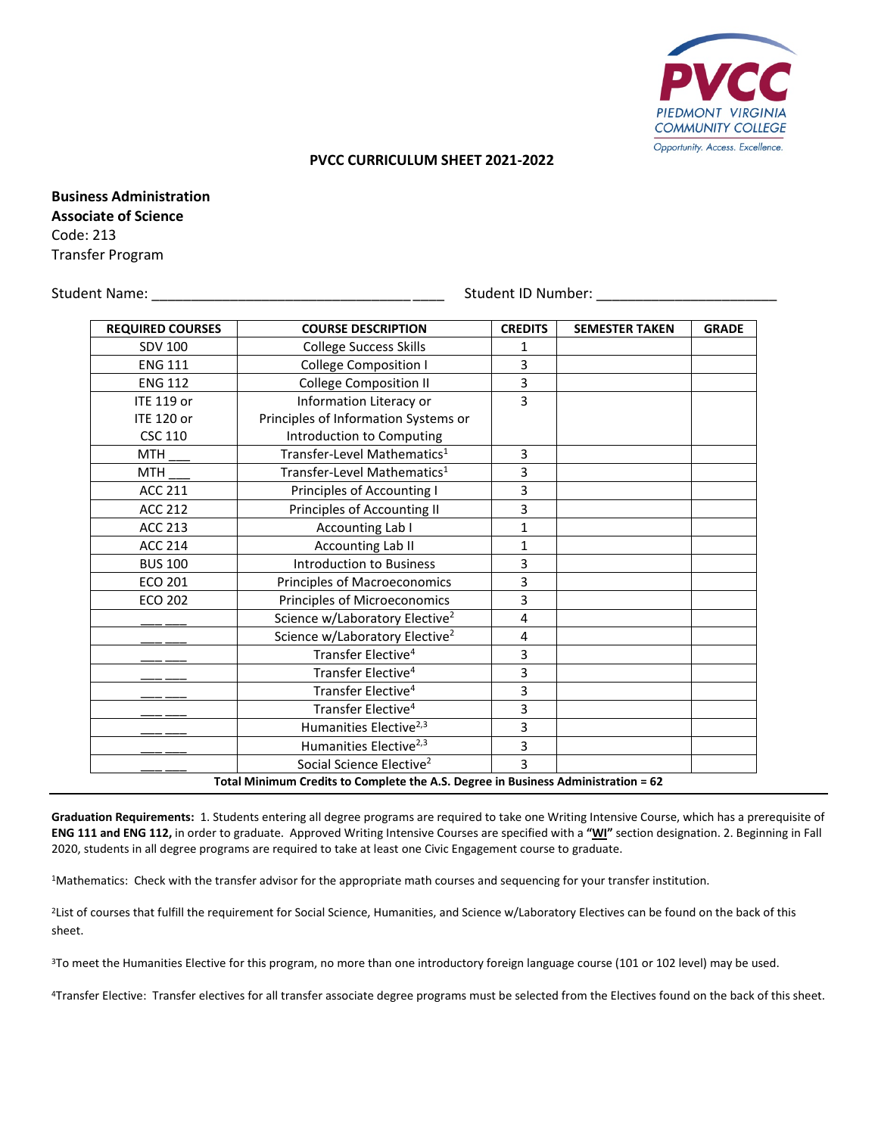

## **PVCC CURRICULUM SHEET 2021-2022**

**Business Administration Associate of Science** Code: 213 Transfer Program

Student Name: \_\_\_\_\_\_\_\_\_\_\_\_\_\_\_\_\_\_\_\_\_\_\_\_\_\_\_\_\_\_\_\_\_ \_\_\_\_ Student ID Number: \_\_\_\_\_\_\_\_\_\_\_\_\_\_\_\_\_\_\_\_\_\_\_

| <b>REQUIRED COURSES</b>                                                           | <b>COURSE DESCRIPTION</b>                  | <b>CREDITS</b> | <b>SEMESTER TAKEN</b> | <b>GRADE</b> |
|-----------------------------------------------------------------------------------|--------------------------------------------|----------------|-----------------------|--------------|
| <b>SDV 100</b>                                                                    | <b>College Success Skills</b>              | 1              |                       |              |
| <b>ENG 111</b>                                                                    | <b>College Composition I</b>               | 3              |                       |              |
| <b>ENG 112</b>                                                                    | <b>College Composition II</b>              | 3              |                       |              |
| <b>ITE 119 or</b>                                                                 | Information Literacy or                    | 3              |                       |              |
| <b>ITE 120 or</b>                                                                 | Principles of Information Systems or       |                |                       |              |
| <b>CSC 110</b>                                                                    | Introduction to Computing                  |                |                       |              |
| <b>MTH</b>                                                                        | Transfer-Level Mathematics <sup>1</sup>    | 3              |                       |              |
| <b>MTH</b>                                                                        | Transfer-Level Mathematics <sup>1</sup>    | 3              |                       |              |
| <b>ACC 211</b>                                                                    | Principles of Accounting I                 | 3              |                       |              |
| <b>ACC 212</b>                                                                    | Principles of Accounting II                | 3              |                       |              |
| <b>ACC 213</b>                                                                    | Accounting Lab I                           | 1              |                       |              |
| <b>ACC 214</b>                                                                    | <b>Accounting Lab II</b>                   | 1              |                       |              |
| <b>BUS 100</b>                                                                    | <b>Introduction to Business</b>            | 3              |                       |              |
| <b>ECO 201</b>                                                                    | Principles of Macroeconomics               | 3              |                       |              |
| <b>ECO 202</b>                                                                    | Principles of Microeconomics               | 3              |                       |              |
|                                                                                   | Science w/Laboratory Elective <sup>2</sup> | 4              |                       |              |
|                                                                                   | Science w/Laboratory Elective <sup>2</sup> | 4              |                       |              |
|                                                                                   | Transfer Elective <sup>4</sup>             | 3              |                       |              |
|                                                                                   | Transfer Elective <sup>4</sup>             | 3              |                       |              |
|                                                                                   | Transfer Elective <sup>4</sup>             | 3              |                       |              |
|                                                                                   | Transfer Elective <sup>4</sup>             | 3              |                       |              |
|                                                                                   | Humanities Elective <sup>2,3</sup>         | 3              |                       |              |
|                                                                                   | Humanities Elective <sup>2,3</sup>         | 3              |                       |              |
|                                                                                   | Social Science Elective <sup>2</sup>       | 3              |                       |              |
| Total Minimum Credits to Complete the A.S. Degree in Business Administration = 62 |                                            |                |                       |              |

**Graduation Requirements:** 1. Students entering all degree programs are required to take one Writing Intensive Course, which has a prerequisite of **ENG 111 and ENG 112,** in order to graduate. Approved Writing Intensive Courses are specified with a **"WI"** section designation. 2. Beginning in Fall 2020, students in all degree programs are required to take at least one Civic Engagement course to graduate.

1Mathematics: Check with the transfer advisor for the appropriate math courses and sequencing for your transfer institution.

<sup>2</sup>List of courses that fulfill the requirement for Social Science, Humanities, and Science w/Laboratory Electives can be found on the back of this sheet.

<sup>3</sup>To meet the Humanities Elective for this program, no more than one introductory foreign language course (101 or 102 level) may be used.

4Transfer Elective: Transfer electives for all transfer associate degree programs must be selected from the Electives found on the back of this sheet.